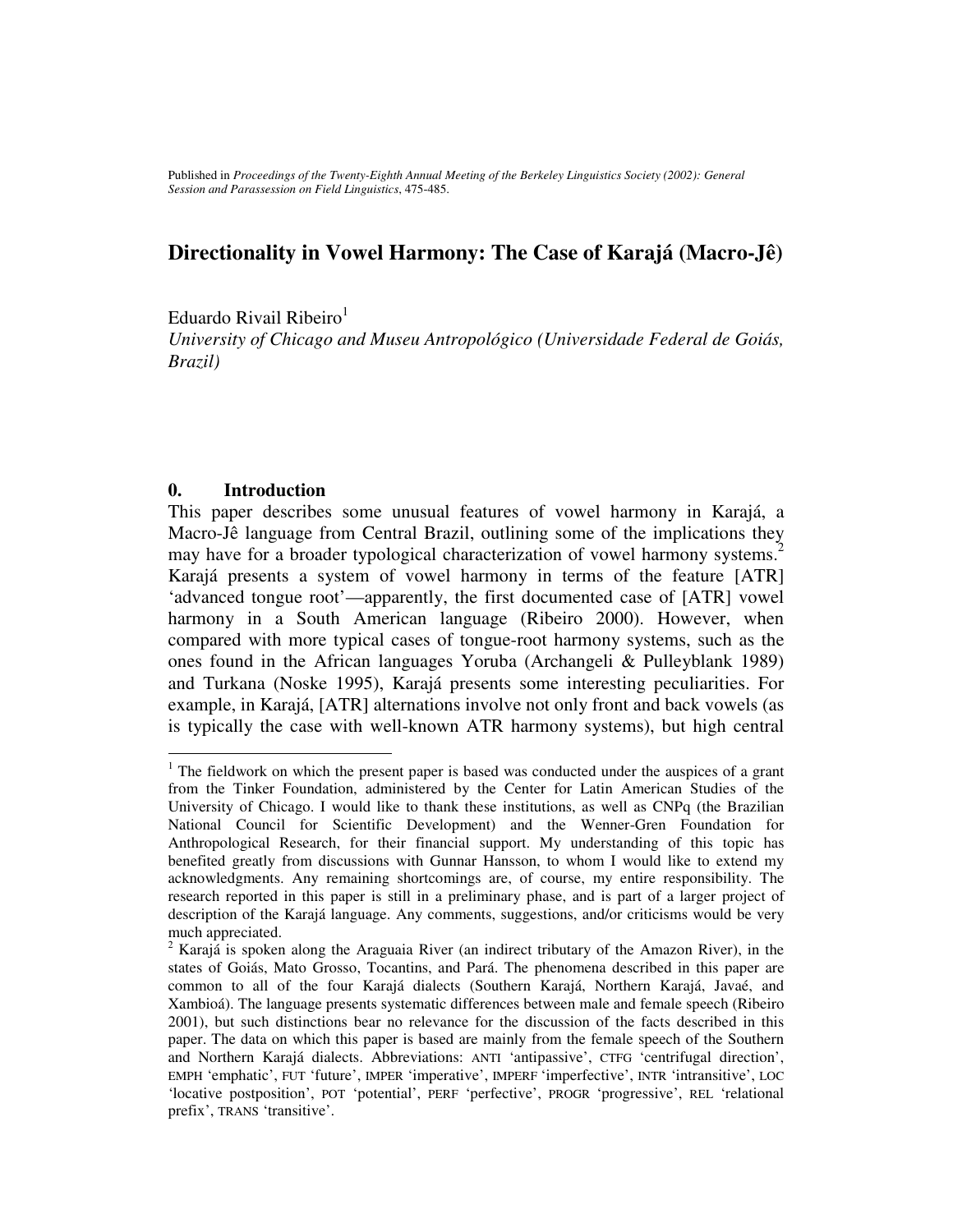Published in *Proceedings of the Twenty-Eighth Annual Meeting of the Berkeley Linguistics Society (2002): General Session and Parassession on Field Linguistics*, 475-485.

## **Directionality in Vowel Harmony: The Case of Karajá (Macro-Jê)**

Eduardo Rivail Ribeiro<sup>1</sup>

*University of Chicago and Museu Antropológico (Universidade Federal de Goiás, Brazil)*

### **0. Introduction**

This paper describes some unusual features of vowel harmony in Karajá, a Macro-Jê language from Central Brazil, outlining some of the implications they may have for a broader typological characterization of vowel harmony systems.<sup>2</sup> Karajá presents a system of vowel harmony in terms of the feature [ATR] 'advanced tongue root'—apparently, the first documented case of [ATR] vowel harmony in a South American language (Ribeiro 2000). However, when compared with more typical cases of tongue-root harmony systems, such as the ones found in the African languages Yoruba (Archangeli & Pulleyblank 1989) and Turkana (Noske 1995), Karajá presents some interesting peculiarities. For example, in Karajá, [ATR] alternations involve not only front and back vowels (as is typically the case with well-known ATR harmony systems), but high central

 $1$  The fieldwork on which the present paper is based was conducted under the auspices of a grant from the Tinker Foundation, administered by the Center for Latin American Studies of the University of Chicago. I would like to thank these institutions, as well as CNPq (the Brazilian National Council for Scientific Development) and the Wenner-Gren Foundation for Anthropological Research, for their financial support. My understanding of this topic has benefited greatly from discussions with Gunnar Hansson, to whom I would like to extend my acknowledgments. Any remaining shortcomings are, of course, my entire responsibility. The research reported in this paper is still in a preliminary phase, and is part of a larger project of description of the Karajá language. Any comments, suggestions, and/or criticisms would be very much appreciated.

 $2^2$  Karajá is spoken along the Araguaia River (an indirect tributary of the Amazon River), in the states of Goiás, Mato Grosso, Tocantins, and Pará. The phenomena described in this paper are common to all of the four Karajá dialects (Southern Karajá, Northern Karajá, Javaé, and Xambioá). The language presents systematic differences between male and female speech (Ribeiro 2001), but such distinctions bear no relevance for the discussion of the facts described in this paper. The data on which this paper is based are mainly from the female speech of the Southern and Northern Karajá dialects. Abbreviations: ANTI 'antipassive', CTFG 'centrifugal direction', EMPH 'emphatic', FUT 'future', IMPER 'imperative', IMPERF 'imperfective', INTR 'intransitive', LOC 'locative postposition', POT 'potential', PERF 'perfective', PROGR 'progressive', REL 'relational prefix', TRANS 'transitive'.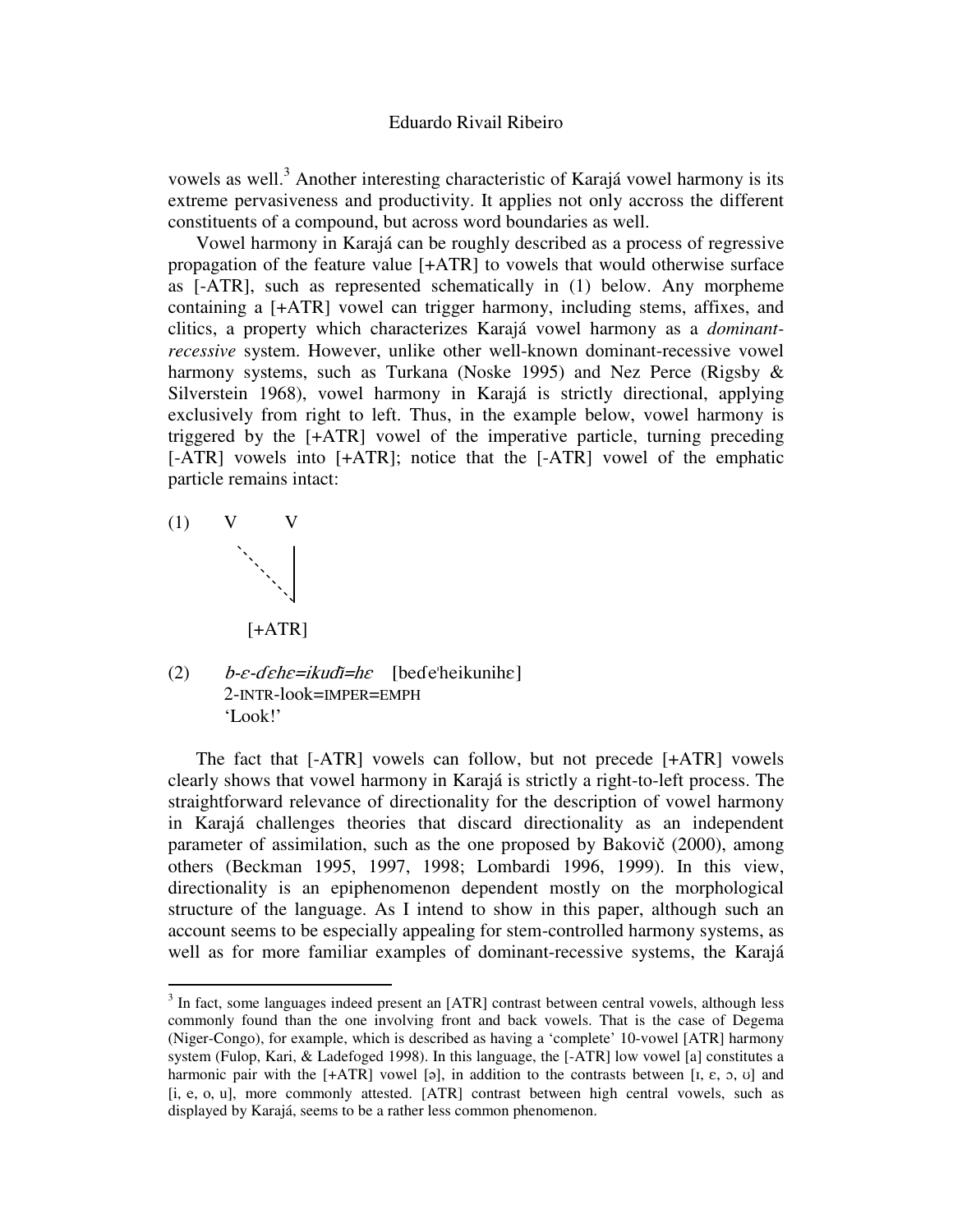vowels as well.<sup>3</sup> Another interesting characteristic of Karajá vowel harmony is its extreme pervasiveness and productivity. It applies not only accross the different constituents of a compound, but across word boundaries as well.

Vowel harmony in Karajá can be roughly described as a process of regressive propagation of the feature value [+ATR] to vowels that would otherwise surface as [-ATR], such as represented schematically in (1) below. Any morpheme containing a [+ATR] vowel can trigger harmony, including stems, affixes, and clitics, a property which characterizes Karajá vowel harmony as a *dominantrecessive* system. However, unlike other well-known dominant-recessive vowel harmony systems, such as Turkana (Noske 1995) and Nez Perce (Rigsby & Silverstein 1968), vowel harmony in Karajá is strictly directional, applying exclusively from right to left. Thus, in the example below, vowel harmony is triggered by the [+ATR] vowel of the imperative particle, turning preceding [-ATR] vowels into [+ATR]; notice that the [-ATR] vowel of the emphatic particle remains intact:



 $(2)$ e-dehe=ikudi=he [bede'heikunihe] 2-INTR-look=IMPER=EMPH 'Look!'

The fact that [-ATR] vowels can follow, but not precede [+ATR] vowels clearly shows that vowel harmony in Karajá is strictly a right-to-left process. The straightforward relevance of directionality for the description of vowel harmony in Karajá challenges theories that discard directionality as an independent parameter of assimilation, such as the one proposed by Bakovič (2000), among others (Beckman 1995, 1997, 1998; Lombardi 1996, 1999). In this view, directionality is an epiphenomenon dependent mostly on the morphological structure of the language. As I intend to show in this paper, although such an account seems to be especially appealing for stem-controlled harmony systems, as well as for more familiar examples of dominant-recessive systems, the Karajá

<sup>&</sup>lt;sup>3</sup> In fact, some languages indeed present an [ATR] contrast between central vowels, although less commonly found than the one involving front and back vowels. That is the case of Degema (Niger-Congo), for example, which is described as having a 'complete' 10-vowel [ATR] harmony system (Fulop, Kari, & Ladefoged 1998). In this language, the [-ATR] low vowel [a] constitutes a harmonic pair with the  $[+ATR]$  vowel [ə], in addition to the contrasts between [ $I, \varepsilon, \sigma, \sigma$ ] and [i, e, o, u], more commonly attested. [ATR] contrast between high central vowels, such as displayed by Karajá, seems to be a rather less common phenomenon.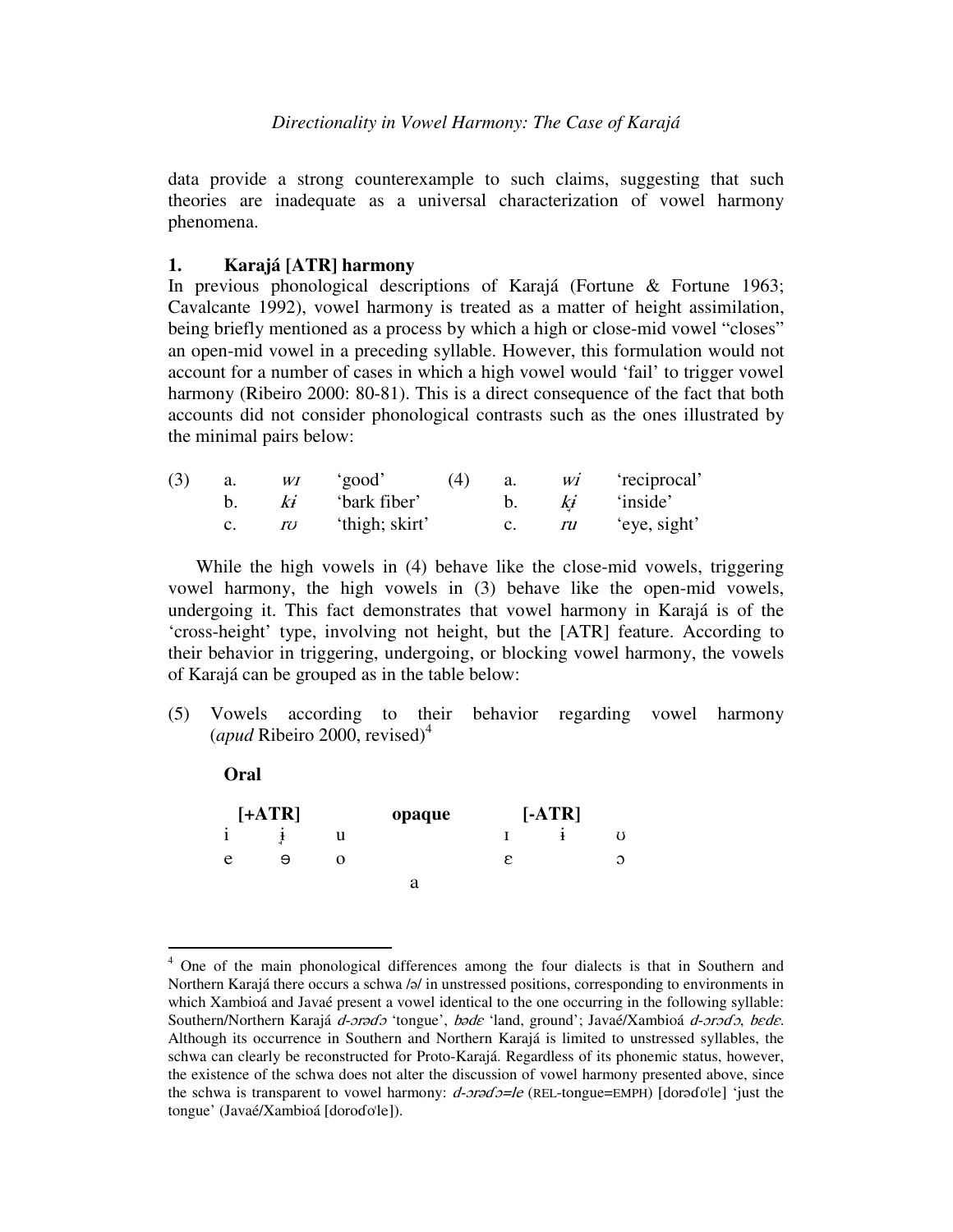data provide a strong counterexample to such claims, suggesting that such theories are inadequate as a universal characterization of vowel harmony phenomena.

### **1. Karajá [ATR] harmony**

**Oral**

In previous phonological descriptions of Karajá (Fortune & Fortune 1963; Cavalcante 1992), vowel harmony is treated as a matter of height assimilation, being briefly mentioned as a process by which a high or close-mid vowel "closes" an open-mid vowel in a preceding syllable. However, this formulation would not account for a number of cases in which a high vowel would 'fail' to trigger vowel harmony (Ribeiro 2000: 80-81). This is a direct consequence of the fact that both accounts did not consider phonological contrasts such as the ones illustrated by the minimal pairs below:

| (3) | a. | WI           | 'good'         | (4) | a.      |    | $wi$ 'reciprocal' |
|-----|----|--------------|----------------|-----|---------|----|-------------------|
|     |    | $\mathbf{k}$ | 'bark fiber'   |     | $b_{1}$ | Kt | 'inside'          |
|     |    | rv           | 'thigh; skirt' |     |         | ru | 'eye, sight'      |

While the high vowels in (4) behave like the close-mid vowels, triggering vowel harmony, the high vowels in (3) behave like the open-mid vowels, undergoing it. This fact demonstrates that vowel harmony in Karajá is of the 'cross-height' type, involving not height, but the [ATR] feature. According to their behavior in triggering, undergoing, or blocking vowel harmony, the vowels of Karajá can be grouped as in the table below:

(5) Vowels according to their behavior regarding vowel harmony (*apud* Ribeiro 2000, revised) 4

| $[+ATR]$ |   |   | opaque |   | $[-ATR]$ |          |
|----------|---|---|--------|---|----------|----------|
| ٠        |   | u |        |   |          |          |
| e        | Θ | O |        | ε |          | $\Omega$ |
|          |   |   | a      |   |          |          |

<sup>4</sup> One of the main phonological differences among the four dialects is that in Southern and Northern Karajá there occurs a schwa /ə/ in unstressed positions, corresponding to environments in which Xambioá and Javaé present a vowel identical to the one occurring in the following syllable: Southern/Northern Karajá *d-orado* 'tongue', bade 'land, ground'; Javaé/Xambioá d-orado, bede. Although its occurrence in Southern and Northern Karajá is limited to unstressed syllables, the schwa can clearly be reconstructed for Proto-Karajá. Regardless of its phonemic status, however, the existence of the schwa does not alter the discussion of vowel harmony presented above, since the schwa is transparent to vowel harmony:  $d$ -ora $d$ o=le (REL-tongue=EMPH) [dorado'le] 'just the tongue' (Javaé/Xambioá [doroɗo'le]).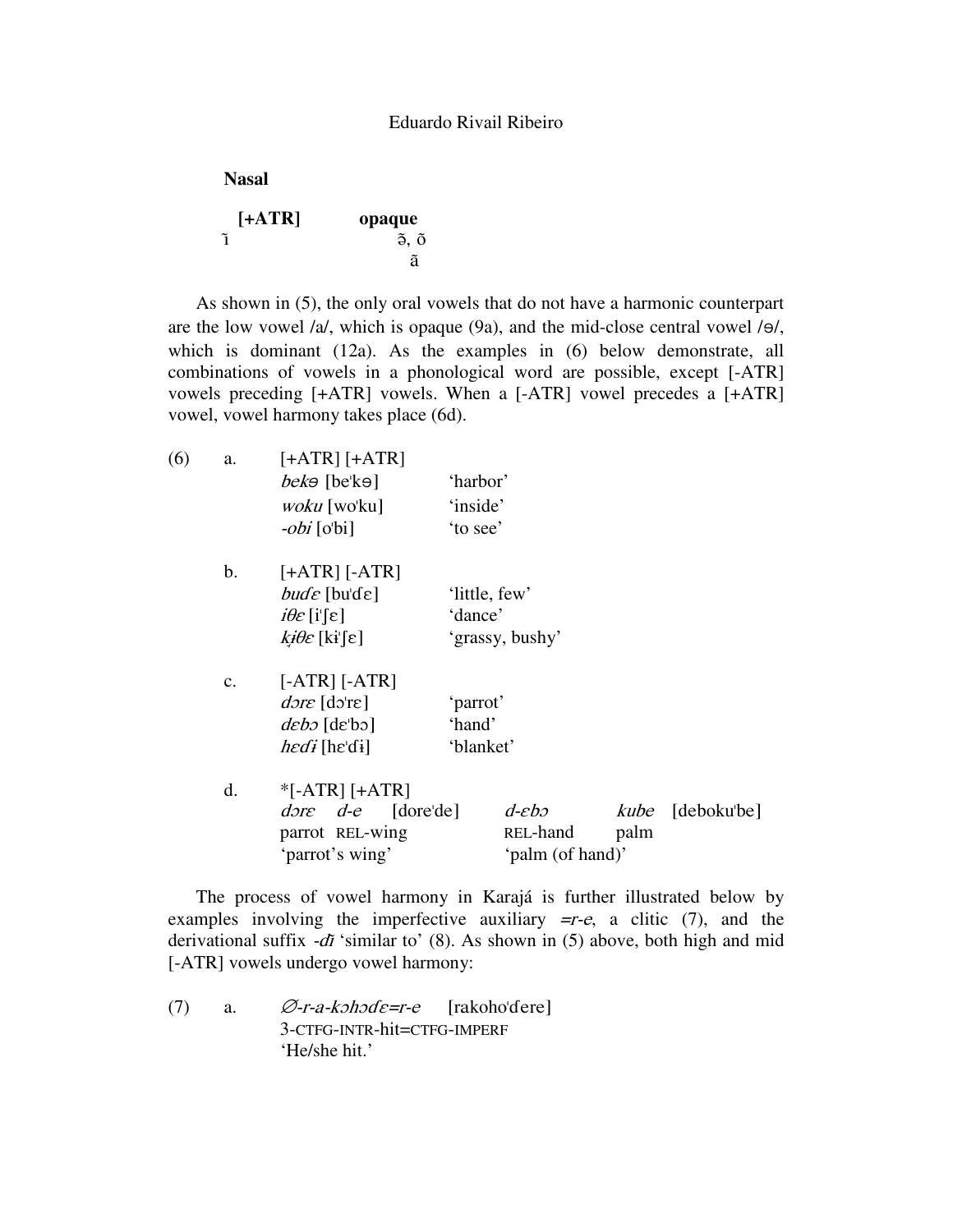**Nasal**

| $[+ATR]$ | opaque |
|----------|--------|
|          | õ. õ   |
|          | ã      |

As shown in (5), the only oral vowels that do not have a harmonic counterpart are the low vowel  $/a/$ , which is opaque (9a), and the mid-close central vowel  $/a/$ , which is dominant (12a). As the examples in (6) below demonstrate, all combinations of vowels in a phonological word are possible, except [-ATR] vowels preceding [+ATR] vowels. When a [-ATR] vowel precedes a [+ATR] vowel, vowel harmony takes place (6d).

| (6) | a.             | $[+ATR]$ $[+ATR]$                          |               |                     |      |                         |  |
|-----|----------------|--------------------------------------------|---------------|---------------------|------|-------------------------|--|
|     |                | $bek\Theta$ [be <sup>'</sup> k $\Theta$ ]  | 'harbor'      |                     |      |                         |  |
|     |                | <i>woku</i> [wo'ku]                        | 'inside'      |                     |      |                         |  |
|     |                | <i>-obi</i> [o'bi]                         | 'to see'      |                     |      |                         |  |
|     | $\mathbf{b}$ . | $[+ATR]$ $[-ATR]$                          |               |                     |      |                         |  |
|     |                | $b$ <i>ud</i> $\varepsilon$ [bu'de]        | 'little, few' |                     |      |                         |  |
|     |                | $i\theta \varepsilon$ [i'[ $\varepsilon$ ] | 'dance'       |                     |      |                         |  |
|     |                | $k \theta \varepsilon$ [ki'[ε]             |               | 'grassy, bushy'     |      |                         |  |
|     | $\mathbf{c}$ . | $[-ATR] [-ATR]$                            |               |                     |      |                         |  |
|     |                | $d$ <i>ore</i> [do're]                     | 'parrot'      |                     |      |                         |  |
|     |                | $deb$ [de'bo]                              | 'hand'        |                     |      |                         |  |
|     |                | $\text{hedf}$ [he'di]                      | 'blanket'     |                     |      |                         |  |
|     | d.             | $*$ [-ATR] [+ATR]                          |               |                     |      |                         |  |
|     |                | $d$ <i>ore</i> $d$ -e $[$ dore'de $]$      |               | $d$ - $\epsilon$ bə |      | <i>kube</i> [deboku'be] |  |
|     |                | parrot REL-wing                            |               | REL-hand            | palm |                         |  |
|     |                | 'parrot's wing'                            |               | 'palm (of hand)'    |      |                         |  |

The process of vowel harmony in Karajá is further illustrated below by examples involving the imperfective auxiliary  $=r-e$ , a clitic  $(7)$ , and the derivational suffix  $-d\tilde{\imath}$  'similar to' (8). As shown in (5) above, both high and mid [-ATR] vowels undergo vowel harmony:

 $(7)$  a. *r-a-kɔhɔɗɛ=r-e* [rakohoˈɗere] 3-CTFG-INTR-hit=CTFG-IMPERF 'He/she hit.'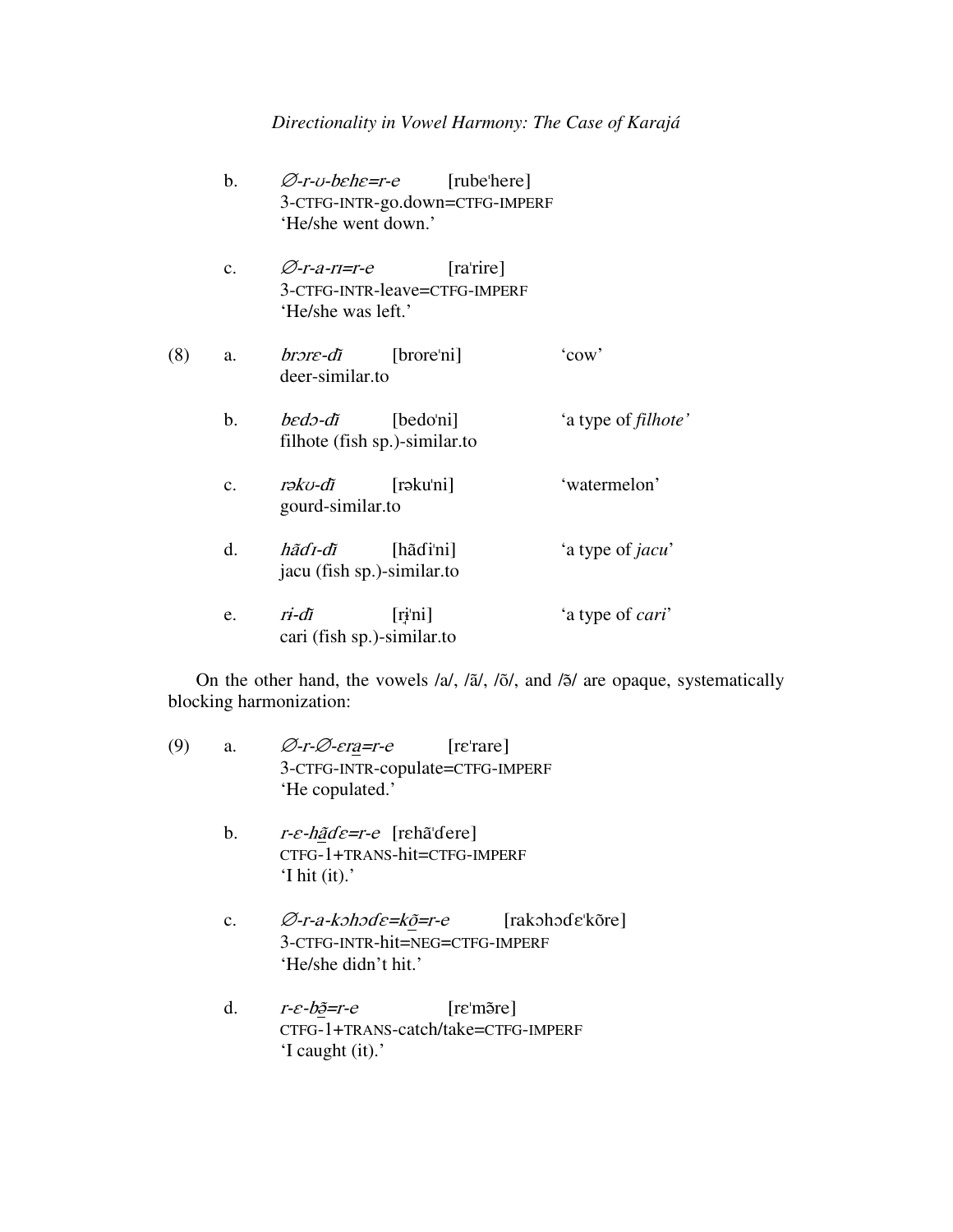# *Directionality in Vowel Harmony: The Case of Karajá*

|     | b.             | Ø-r-v-behe=r-e<br>'He/she went down.'    | [rube <sup>'</sup> here]<br>3-CTFG-INTR-go.down=CTFG-IMPERF |                             |
|-----|----------------|------------------------------------------|-------------------------------------------------------------|-----------------------------|
|     | $\mathbf{c}$ . | Ø-r-a-ri=r-e<br>'He/she was left.'       | [ra'rire]<br>3-CTFG-INTR-leave=CTFG-IMPERF                  |                             |
| (8) | a.             | brəre-di<br>deer-similar.to              | [brore'ni]                                                  | 'cow'                       |
|     | b.             | bedə-di<br>filhote (fish sp.)-similar.to | [bedo'ni]                                                   | 'a type of <i>filhote</i> ' |
|     | $\mathbf{c}$ . | rəku-di<br>gourd-similar.to              | [ <i>r</i> əku'ni]                                          | 'watermelon'                |
|     | d.             | hãd1-dĩ<br>jacu (fish sp.)-similar.to    | [haɗi'ni]                                                   | 'a type of <i>jacu</i> '    |
|     | e.             | ri-dĩ<br>cari (fish sp.)-similar.to      | [riˈni]                                                     | 'a type of <i>cari</i> '    |

On the other hand, the vowels  $/al$ ,  $/äl$ ,  $/õ/$ , and  $/õ/$  are opaque, systematically blocking harmonization:

| (9) | a. | $\varnothing$ -r- $\varnothing$ -era=r-e [re'rare]                     |
|-----|----|------------------------------------------------------------------------|
|     |    | 3-CTFG-INTR-copulate=CTFG-IMPERF                                       |
|     |    | 'He copulated.'                                                        |
|     |    |                                                                        |
|     | b. | $r$ - $\varepsilon$ - <i>hãd</i> $\varepsilon$ = $r$ - $e$ [rehã dere] |
|     |    | CTFG-1+TRANS-hit=CTFG-IMPERF                                           |

- 'I hit (it).' c. ⊘-r-a-kəhəde=k<u>õ</u>=r-[rakohode'kõre] 3-CTFG-INTR-hit=NEG=CTFG-IMPERF
	- 'He/she didn't hit.'
- $d.$ e-bã=r- $[re'm\tilde{o}re]$ CTFG-1+TRANS-catch/take=CTFG-IMPERF 'I caught (it).'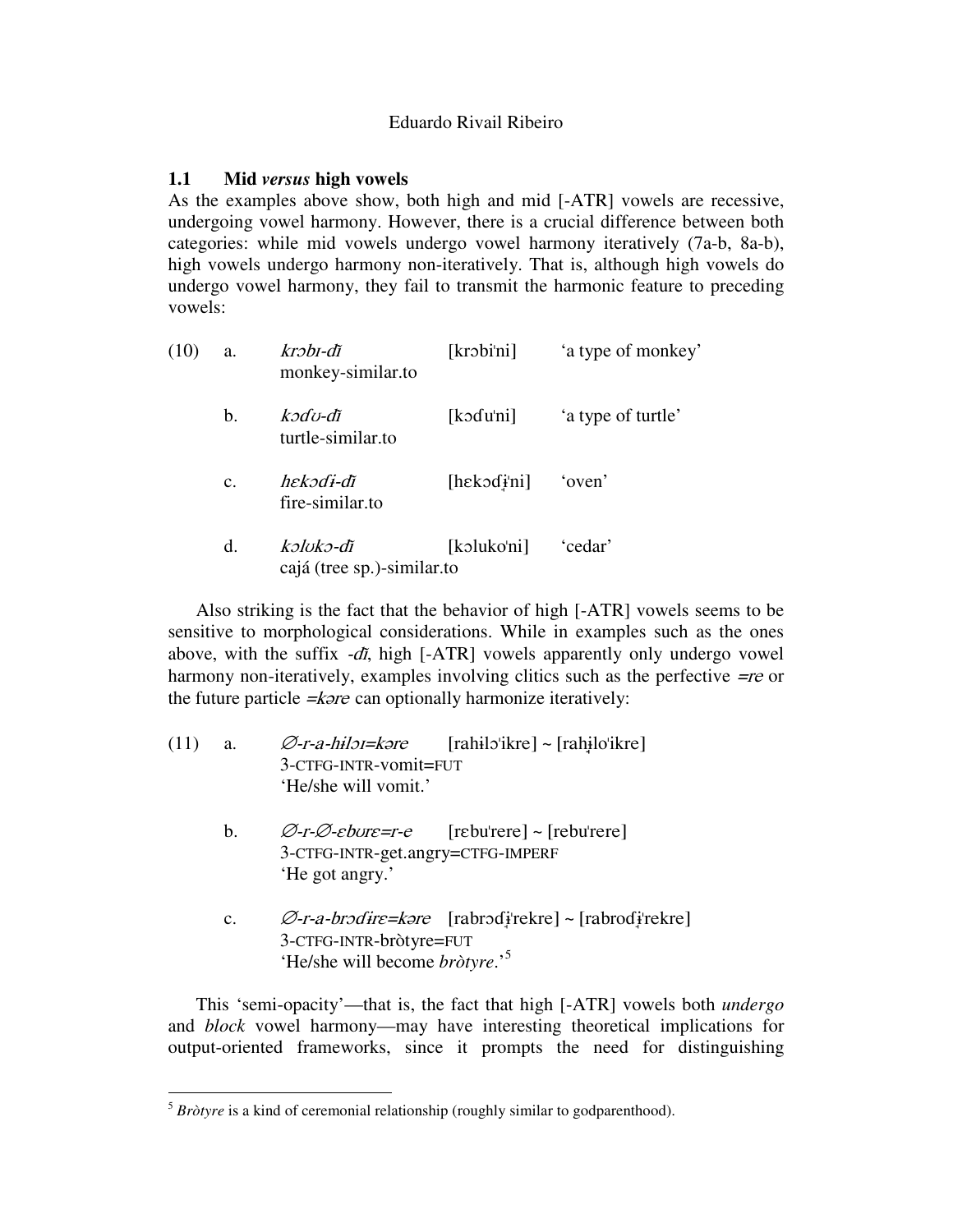# **1.1 Mid** *versus* **high vowels**

As the examples above show, both high and mid [-ATR] vowels are recessive, undergoing vowel harmony. However, there is a crucial difference between both categories: while mid vowels undergo vowel harmony iteratively (7a-b, 8a-b), high vowels undergo harmony non-iteratively. That is, although high vowels do undergo vowel harmony, they fail to transmit the harmonic feature to preceding vowels:

| (10) | a.             | krəbi-di<br>monkey-similar.to           | [krobi'ni]        | 'a type of monkey' |
|------|----------------|-----------------------------------------|-------------------|--------------------|
|      | b.             | kədu-di<br>turtle-similar.to            | $[k$ odu'ni]      | 'a type of turtle' |
|      | $\mathbf{c}$ . | hekədi-di<br>fire-similar.to            | $[hek$ odi'ni $]$ | 'oven'             |
|      | d.             | kəlokə-di<br>cajá (tree sp.)-similar.to | [kɔluko'ni]       | 'cedar'            |

Also striking is the fact that the behavior of high [-ATR] vowels seems to be sensitive to morphological considerations. While in examples such as the ones above, with the suffix  $-d\tilde{t}$ , high [-ATR] vowels apparently only undergo vowel harmony non-iteratively, examples involving clitics such as the perfective  $=$ re or the future particle  $=k$ *ore* can optionally harmonize iteratively:

| (11) | a.             | Ø-r-a-hilor=kəre<br>3-CTFG-INTR-vomit=FUT<br>'He/she will vomit.'             | $[rahilo'ikre]$ ~ $[rahilo'ikre]$                                    |
|------|----------------|-------------------------------------------------------------------------------|----------------------------------------------------------------------|
|      | b.             | 3-CTFG-INTR-get.angry=CTFG-IMPERF<br>'He got angry.'                          | $\varnothing$ -r- $\varnothing$ -ebure=r-e [rebu'rere] ~ [rebu'rere] |
|      | $\mathbf{c}$ . | 3-CTFG-INTR-bròtyre=FUT<br>'He/she will become <i>bròtyre</i> .' <sup>5</sup> | $\varnothing$ -r-a-brodire=kəre [rabrodirekre] ~ [rabrodirekre]      |

This 'semi-opacity'—that is, the fact that high [-ATR] vowels both *undergo* and *block* vowel harmony—may have interesting theoretical implications for output-oriented frameworks, since it prompts the need for distinguishing

<sup>5</sup> *Bròtyre* is a kind of ceremonial relationship (roughly similar to godparenthood).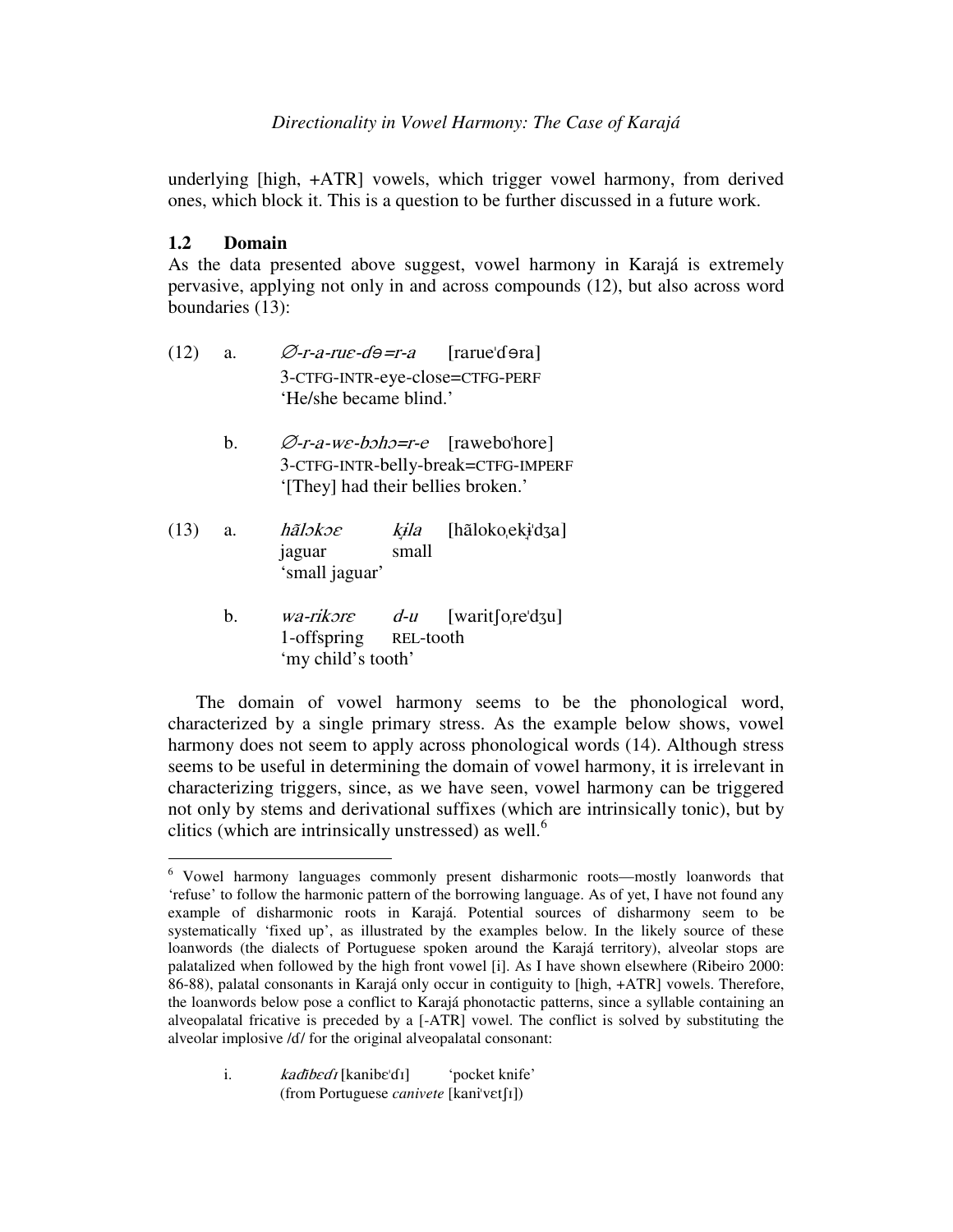underlying [high, +ATR] vowels, which trigger vowel harmony, from derived ones, which block it. This is a question to be further discussed in a future work.

### **1.2 Domain**

As the data presented above suggest, vowel harmony in Karajá is extremely pervasive, applying not only in and across compounds (12), but also across word boundaries (13):

- $(12)$  a. .<br>r-a-rue-də*=*r- $[\text{rarue} \text{d} \text{e} \text{r} \text{a}]$ 3-CTFG-INTR-eye-close=CTFG-PERF 'He/she became blind.'
	- b.  $\varnothing$ -r-a-we-boho=r-e [rawebo'hore] 3-CTFG-INTR-belly-break=CTFG-IMPERF '[They] had their bellies broken.'
- (13) a. *hãlokoe kila* [hãloko<sub>l</sub>eki<sup>1</sup>dza] jaguar small 'small jaguar'
	- b. *wa-rikore d* $d-u$  $\mathbf{u}$  [warit [o, re'd 3u] 1-offspring REL-tooth 'my child's tooth'

The domain of vowel harmony seems to be the phonological word, characterized by a single primary stress. As the example below shows, vowel harmony does not seem to apply across phonological words (14). Although stress seems to be useful in determining the domain of vowel harmony, it is irrelevant in characterizing triggers, since, as we have seen, vowel harmony can be triggered not only by stems and derivational suffixes (which are intrinsically tonic), but by clitics (which are intrinsically unstressed) as well.<sup>6</sup>

<sup>6</sup> Vowel harmony languages commonly present disharmonic roots—mostly loanwords that 'refuse' to follow the harmonic pattern of the borrowing language. As of yet, I have not found any example of disharmonic roots in Karajá. Potential sources of disharmony seem to be systematically 'fixed up', as illustrated by the examples below. In the likely source of these loanwords (the dialects of Portuguese spoken around the Karajá territory), alveolar stops are palatalized when followed by the high front vowel [i]. As I have shown elsewhere (Ribeiro 2000: 86-88), palatal consonants in Karajá only occur in contiguity to [high, +ATR] vowels. Therefore, the loanwords below pose a conflict to Karajá phonotactic patterns, since a syllable containing an alveopalatal fricative is preceded by a [-ATR] vowel. The conflict is solved by substituting the alveolar implosive /d/ for the original alveopalatal consonant:

i. *kadibedi* [kanibe'di] 'pocket knife' (from Portuguese *canivete* [kani'vet[1])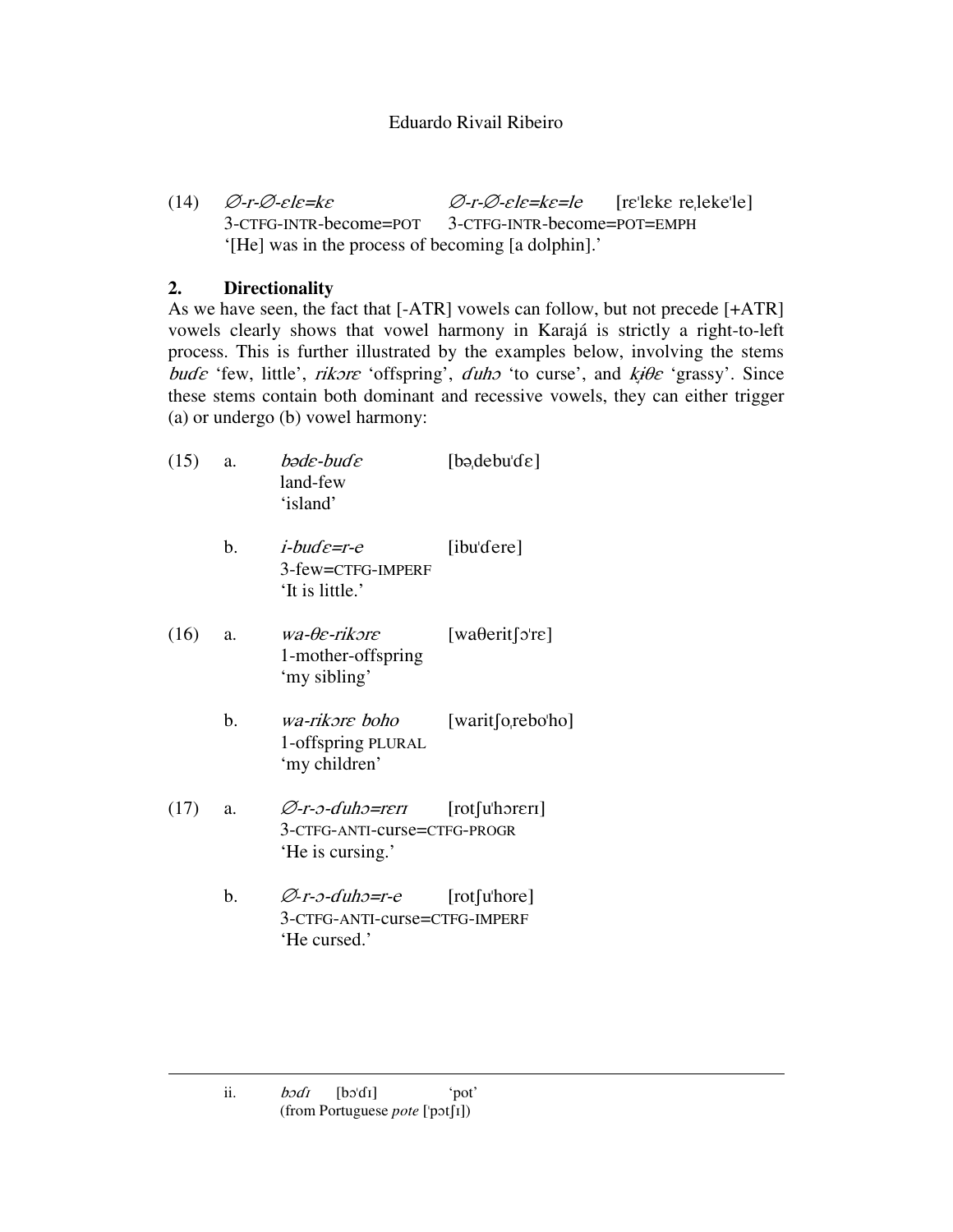(14)  $\varnothing$ -r- $\varnothing$ -ele=ke  $\varnothing$ --∅- $[refleke$   $refleke$ <sup> $e$ </sup> $]$ 3-CTFG-INTR-become=POT 3-CTFG-INTR-become=POT=EMPH '[He] was in the process of becoming [a dolphin].'

# **2. Directionality**

As we have seen, the fact that [-ATR] vowels can follow, but not precede [+ATR] vowels clearly shows that vowel harmony in Karajá is strictly a right-to-left process. This is further illustrated by the examples below, involving the stems bude 'few, little', rikore 'offspring',  $duh$  'to curse', and  $k \neq \theta$ e 'grassy'. Since these stems contain both dominant and recessive vowels, they can either trigger (a) or undergo (b) vowel harmony:

| (15) | a. | bəde-bud e<br>land-few<br>'island'                                      | $[$ bə,debu'd $\varepsilon]$                 |
|------|----|-------------------------------------------------------------------------|----------------------------------------------|
|      | b. | <i>i-bud</i> $\varepsilon$ =r-e<br>3-few=CTFG-IMPERF<br>'It is little.' | [ibu'dere]                                   |
| (16) | a. | wa-Oe-rikore<br>1-mother-offspring<br>'my sibling'                      | [wa $\theta$ erit [o're]                     |
|      | b. | wa-rikore boho<br>1-offspring PLURAL<br>'my children'                   | [warit [o, rebo'ho]                          |
| (17) | a. | Ø-r-0-duh0=rer1<br>3-CTFG-ANTI-curse=CTFG-PROGR<br>'He is cursing.'     | $[\text{rot}[\text{u}]\text{h}$ <sub>r</sub> |
|      | b. | Ø-r-0-duh0=r-e<br>3-CTFG-ANTI-curse=CTFG-IMPERF<br>'He cursed.'         | $[\text{rot}[\text{u}]\text{hore}]$          |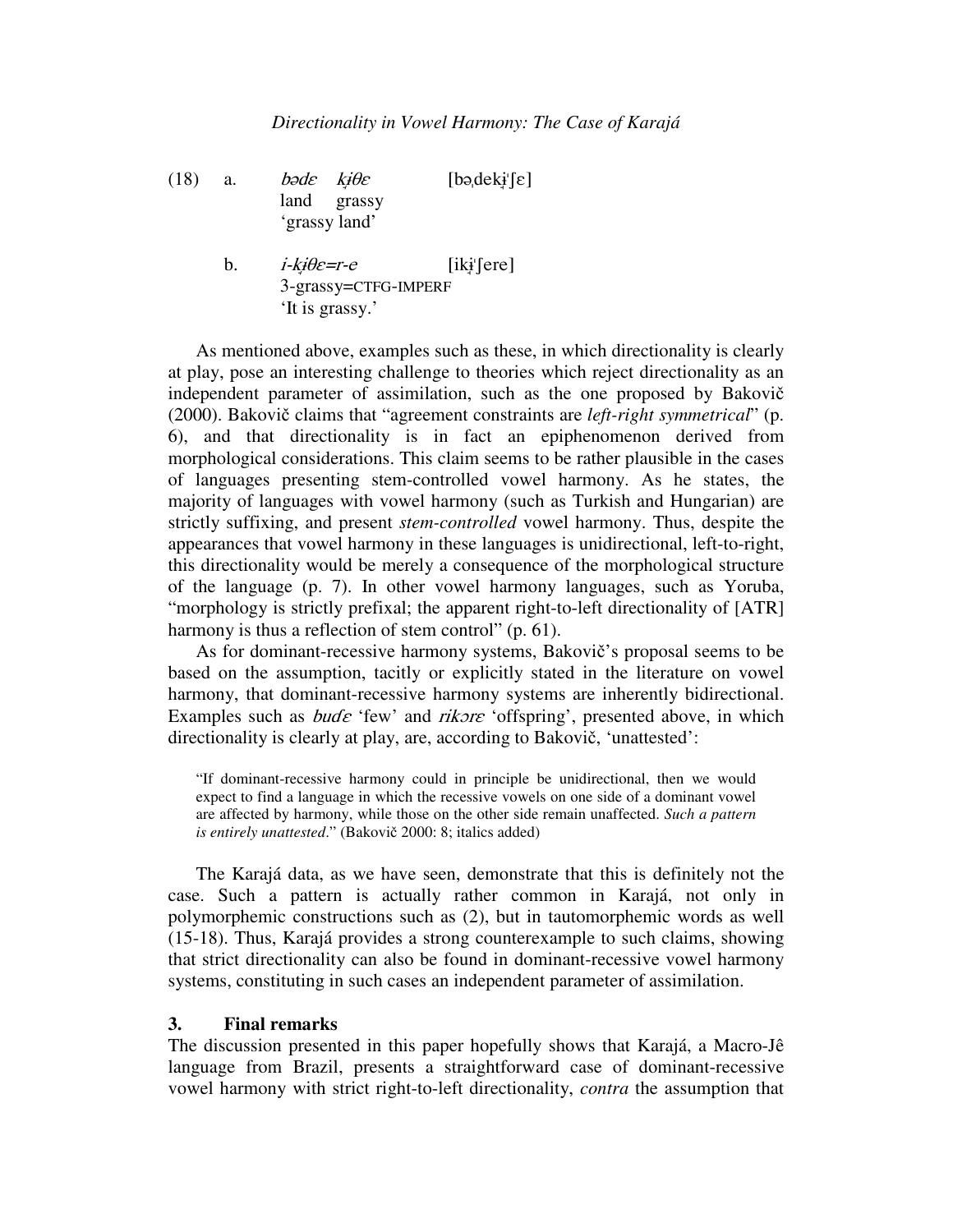- (18) a. bode *'ε kį̇́θε* [bəˌdekɨˈʃε] land grassy 'grassy land'
	- $<sub>b</sub>$ .</sub>  $i$ -ki $\theta$ e=r-e  $[iki$  [ere] 3-grassy=CTFG-IMPERF 'It is grassy.'

As mentioned above, examples such as these, in which directionality is clearly at play, pose an interesting challenge to theories which reject directionality as an independent parameter of assimilation, such as the one proposed by Bakovi (2000). Bakovič claims that "agreement constraints are *left-right symmetrical*" (p. 6), and that directionality is in fact an epiphenomenon derived from morphological considerations. This claim seems to be rather plausible in the cases of languages presenting stem-controlled vowel harmony. As he states, the majority of languages with vowel harmony (such as Turkish and Hungarian) are strictly suffixing, and present *stem-controlled* vowel harmony. Thus, despite the appearances that vowel harmony in these languages is unidirectional, left-to-right, this directionality would be merely a consequence of the morphological structure of the language (p. 7). In other vowel harmony languages, such as Yoruba, "morphology is strictly prefixal; the apparent right-to-left directionality of [ATR] harmony is thus a reflection of stem control" (p. 61).

As for dominant-recessive harmony systems, Bakovič's proposal seems to be based on the assumption, tacitly or explicitly stated in the literature on vowel harmony, that dominant-recessive harmony systems are inherently bidirectional. Examples such as  $b$ ud $\varepsilon$  'few' and *rikore* 'offspring', presented above, in which directionality is clearly at play, are, according to Bakovič, 'unattested':

"If dominant-recessive harmony could in principle be unidirectional, then we would expect to find a language in which the recessive vowels on one side of a dominant vowel are affected by harmony, while those on the other side remain unaffected. *Such a pattern is entirely unattested.*" (Bakovič 2000: 8; italics added)

The Karajá data, as we have seen, demonstrate that this is definitely not the case. Such a pattern is actually rather common in Karajá, not only in polymorphemic constructions such as (2), but in tautomorphemic words as well (15-18). Thus, Karajá provides a strong counterexample to such claims, showing that strict directionality can also be found in dominant-recessive vowel harmony systems, constituting in such cases an independent parameter of assimilation.

#### **3. Final remarks**

The discussion presented in this paper hopefully shows that Karajá, a Macro-Jê language from Brazil, presents a straightforward case of dominant-recessive vowel harmony with strict right-to-left directionality, *contra* the assumption that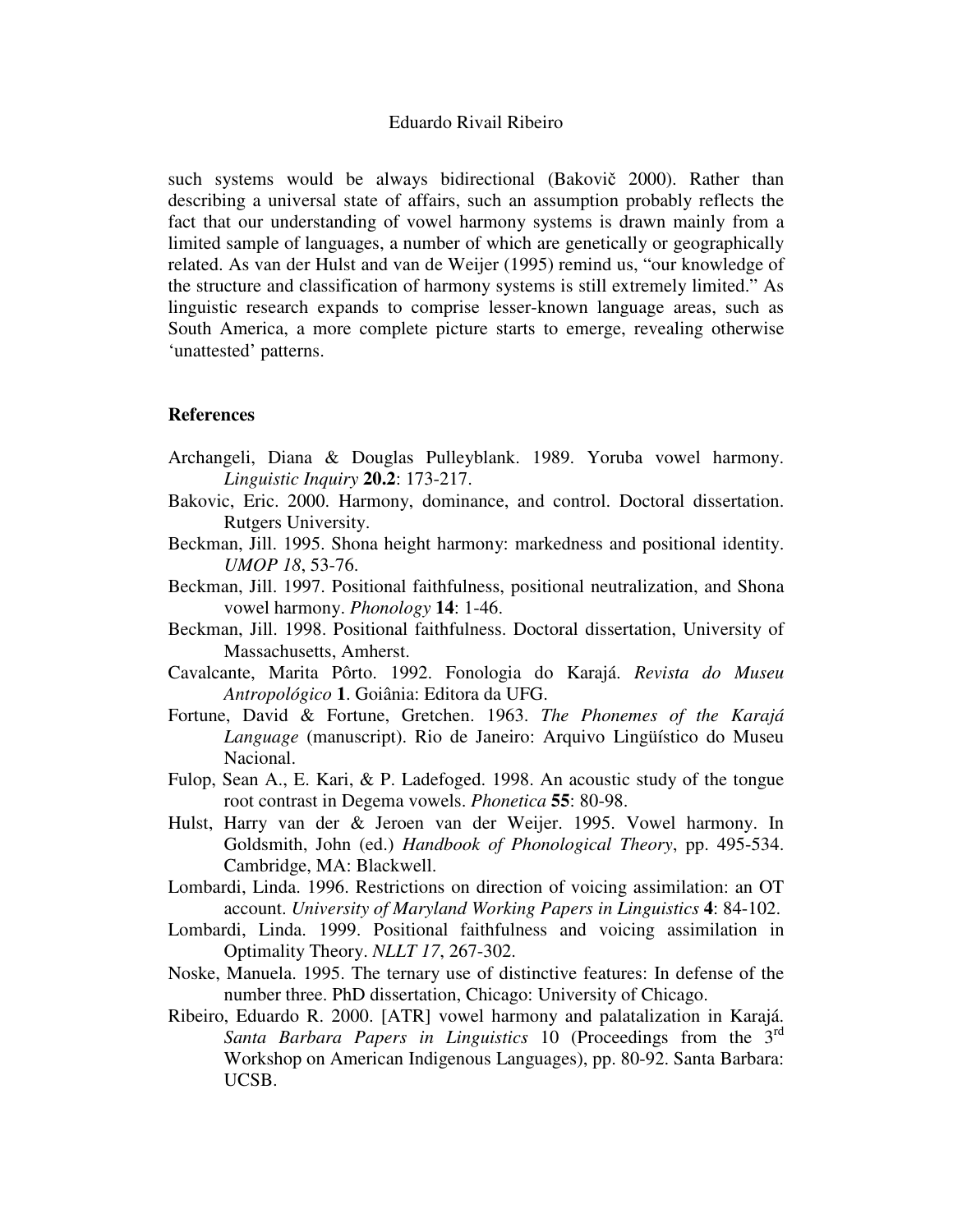such systems would be always bidirectional (Bakovič 2000). Rather than describing a universal state of affairs, such an assumption probably reflects the fact that our understanding of vowel harmony systems is drawn mainly from a limited sample of languages, a number of which are genetically or geographically related. As van der Hulst and van de Weijer (1995) remind us, "our knowledge of the structure and classification of harmony systems is still extremely limited." As linguistic research expands to comprise lesser-known language areas, such as South America, a more complete picture starts to emerge, revealing otherwise 'unattested' patterns.

#### **References**

- Archangeli, Diana & Douglas Pulleyblank. 1989. Yoruba vowel harmony. *Linguistic Inquiry* **20.2**: 173-217.
- Bakovic, Eric. 2000. Harmony, dominance, and control. Doctoral dissertation. Rutgers University.
- Beckman, Jill. 1995. Shona height harmony: markedness and positional identity. *UMOP 18*, 53-76.
- Beckman, Jill. 1997. Positional faithfulness, positional neutralization, and Shona vowel harmony. *Phonology* **14**: 1-46.
- Beckman, Jill. 1998. Positional faithfulness. Doctoral dissertation, University of Massachusetts, Amherst.
- Cavalcante, Marita Pôrto. 1992. Fonologia do Karajá. *Revista do Museu Antropológico* **1**. Goiânia: Editora da UFG.
- Fortune, David & Fortune, Gretchen. 1963. *The Phonemes of the Karajá Language* (manuscript). Rio de Janeiro: Arquivo Lingüístico do Museu Nacional.
- Fulop, Sean A., E. Kari, & P. Ladefoged. 1998. An acoustic study of the tongue root contrast in Degema vowels. *Phonetica* **55**: 80-98.
- Hulst, Harry van der & Jeroen van der Weijer. 1995. Vowel harmony. In Goldsmith, John (ed.) *Handbook of Phonological Theory*, pp. 495-534. Cambridge, MA: Blackwell.
- Lombardi, Linda. 1996. Restrictions on direction of voicing assimilation: an OT account. *University of Maryland Working Papers in Linguistics* **4**: 84-102.
- Lombardi, Linda. 1999. Positional faithfulness and voicing assimilation in Optimality Theory. *NLLT 17*, 267-302.
- Noske, Manuela. 1995. The ternary use of distinctive features: In defense of the number three. PhD dissertation, Chicago: University of Chicago.
- Ribeiro, Eduardo R. 2000. [ATR] vowel harmony and palatalization in Karajá. Santa Barbara Papers in Linguistics 10 (Proceedings from the 3<sup>rd</sup> Workshop on American Indigenous Languages), pp. 80-92. Santa Barbara: UCSB.